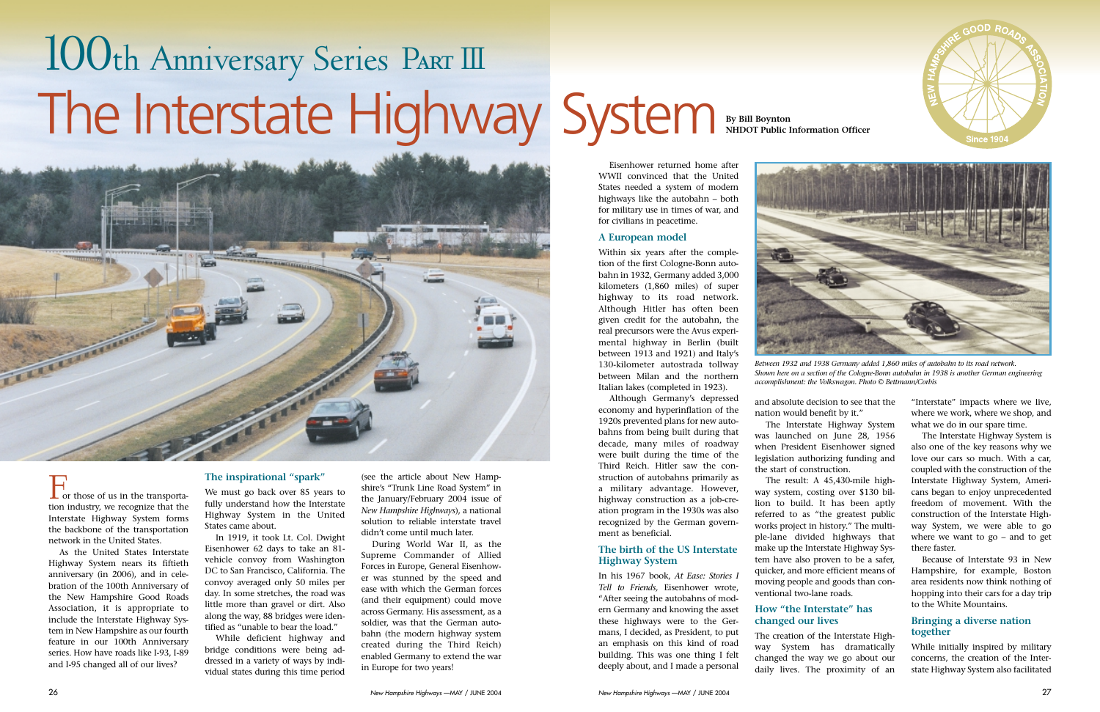



Eisenhower returned home after WWII convinced that the United States needed a system of modern highways like the autobahn – both for military use in times of war, and for civilians in peacetime.

# **A European model**

Within six years after the completion of the first Cologne-Bonn autobahn in 1932, Germany added 3,000 kilometers (1,860 miles) of super highway to its road network. Although Hitler has often been given credit for the autobahn, the real precursors were the Avus experimental highway in Berlin (built between 1913 and 1921) and Italy's 130-kilometer autostrada tollway between Milan and the northern Italian lakes (completed in 1923).

Although Germany's depressed economy and hyperinflation of the 1920s prevented plans for new autobahns from being built during that decade, many miles of roadway were built during the time of the Third Reich. Hitler saw the construction of autobahns primarily as a military advantage. However, highway construction as a job-creation program in the 1930s was also recognized by the German government as beneficial.

# **The birth of the US Interstate Highway System**

In his 1967 book, *At Ease: Stories I Tell to Friends,* Eisenhower wrote, "After seeing the autobahns of modern Germany and knowing the asset these highways were to the Germans, I decided, as President, to put an emphasis on this kind of road building. This was one thing I felt deeply about, and I made a personal

and absolute decision to see that the nation would benefit by it."

The Interstate Highway System was launched on June 28, 1956 when President Eisenhower signed legislation authorizing funding and the start of construction.

The result: A 45,430-mile highway system, costing over \$130 billion to build. It has been aptly referred to as "the greatest public works project in history." The multiple-lane divided highways that make up the Interstate Highway System have also proven to be a safer, quicker, and more efficient means of moving people and goods than con-

ventional two-lane roads.

# **How "the Interstate" has changed our lives**

The creation of the Interstate Highway System has dramatically changed the way we go about our daily lives. The proximity of an

"Interstate" impacts where we live, where we work, where we shop, and what we do in our spare time.

The Interstate Highway System is also one of the key reasons why we love our cars so much. With a car, coupled with the construction of the Interstate Highway System, Americans began to enjoy unprecedented freedom of movement. With the construction of the Interstate Highway System, we were able to go where we want to go – and to get there faster.

Because of Interstate 93 in New Hampshire, for example, Boston area residents now think nothing of hopping into their cars for a day trip to the White Mountains.

# **Bringing a diverse nation together**

While initially inspired by military concerns, the creation of the Interstate Highway System also facilitated

# 100th Anniversary Series PART III The Interstate Highway System By Bill Boynton



For those of us in the transportation industry, we recognize that the Interstate Highway System forms the backbone of the transportation network in the United States.

As the United States Interstate Highway System nears its fiftieth anniversary (in 2006), and in celebration of the 100th Anniversary of the New Hampshire Good Roads Association, it is appropriate to include the Interstate Highway System in New Hampshire as our fourth feature in our 100th Anniversary series. How have roads like I-93, I-89 and I-95 changed all of our lives?

# **The inspirational "spark"**

We must go back over 85 years to fully understand how the Interstate Highway System in the United States came about.

In 1919, it took Lt. Col. Dwight Eisenhower 62 days to take an 81 vehicle convoy from Washington DC to San Francisco, California. The convoy averaged only 50 miles per day. In some stretches, the road was little more than gravel or dirt. Also along the way, 88 bridges were identified as "unable to bear the load."

While deficient highway and bridge conditions were being addressed in a variety of ways by individual states during this time period

(see the article about New Hampshire's "Trunk Line Road System" in the January/February 2004 issue of *New Hampshire Highways*), a national solution to reliable interstate travel didn't come until much later.

During World War II, as the Supreme Commander of Allied Forces in Europe, General Eisenhower was stunned by the speed and ease with which the German forces (and their equipment) could move across Germany. His assessment, as a soldier, was that the German autobahn (the modern highway system created during the Third Reich) enabled Germany to extend the war in Europe for two years!

**NHDOT Public Information Officer**

*Between 1932 and 1938 Germany added 1,860 miles of autobahn to its road network. Shown here on a section of the Cologne-Bonn autobahn in 1938 is another German engineering accomplishment: the Volkswagon. Photo © Bettmann/Corbis*